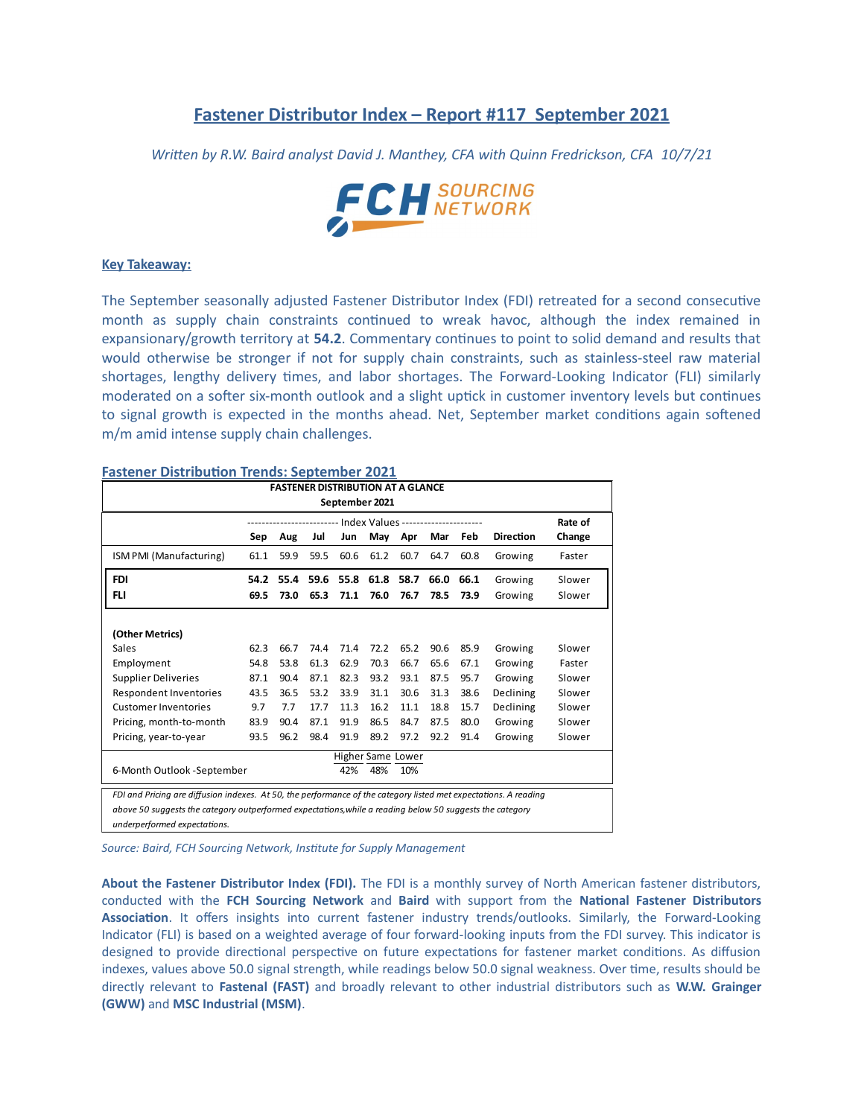# **Fastener Distributor Index - Report #117 September 2021**

*Written by R.W. Baird analyst David J. Manthey, CFA with Quinn Fredrickson, CFA 10/7/21*



### **Key Takeaway:**

The September seasonally adjusted Fastener Distributor Index (FDI) retreated for a second consecutive month as supply chain constraints continued to wreak havoc, although the index remained in expansionary/growth territory at **54.2**. Commentary continues to point to solid demand and results that would otherwise be stronger if not for supply chain constraints, such as stainless-steel raw material shortages, lengthy delivery times, and labor shortages. The Forward-Looking Indicator (FLI) similarly moderated on a softer six-month outlook and a slight uptick in customer inventory levels but continues to signal growth is expected in the months ahead. Net, September market conditions again softened m/m amid intense supply chain challenges.

### **Fastener Distribution Trends: September 2021**

| <b>FASTENER DISTRIBUTION AT A GLANCE</b>                                                                         |                                |      |      |      |           |      |      |      |                  |         |
|------------------------------------------------------------------------------------------------------------------|--------------------------------|------|------|------|-----------|------|------|------|------------------|---------|
| September 2021                                                                                                   |                                |      |      |      |           |      |      |      |                  |         |
|                                                                                                                  | -- Index Values -------------- |      |      |      |           |      |      |      |                  | Rate of |
|                                                                                                                  | Sep                            | Aug  | Jul  | Jun  | May       | Apr  | Mar  | Feb  | <b>Direction</b> | Change  |
| ISM PMI (Manufacturing)                                                                                          | 61.1                           | 59.9 | 59.5 | 60.6 | 61.2      | 60.7 | 64.7 | 60.8 | Growing          | Faster  |
| <b>FDI</b>                                                                                                       | 54.2                           | 55.4 | 59.6 |      | 55.8 61.8 | 58.7 | 66.0 | 66.1 | Growing          | Slower  |
| <b>FLI</b>                                                                                                       | 69.5                           | 73.0 | 65.3 | 71.1 | 76.0      | 76.7 | 78.5 | 73.9 | Growing          | Slower  |
|                                                                                                                  |                                |      |      |      |           |      |      |      |                  |         |
| (Other Metrics)                                                                                                  |                                |      |      |      |           |      |      |      |                  |         |
| Sales                                                                                                            | 62.3                           | 66.7 | 74.4 | 71.4 | 72.2      | 65.2 | 90.6 | 85.9 | Growing          | Slower  |
| Employment                                                                                                       | 54.8                           | 53.8 | 61.3 | 62.9 | 70.3      | 66.7 | 65.6 | 67.1 | Growing          | Faster  |
| <b>Supplier Deliveries</b>                                                                                       | 87.1                           | 90.4 | 87.1 | 82.3 | 93.2      | 93.1 | 87.5 | 95.7 | Growing          | Slower  |
| Respondent Inventories                                                                                           | 43.5                           | 36.5 | 53.2 | 33.9 | 31.1      | 30.6 | 31.3 | 38.6 | Declining        | Slower  |
| <b>Customer Inventories</b>                                                                                      | 9.7                            | 7.7  | 17.7 | 11.3 | 16.2      | 11.1 | 18.8 | 15.7 | Declining        | Slower  |
| Pricing, month-to-month                                                                                          | 83.9                           | 90.4 | 87.1 | 91.9 | 86.5      | 84.7 | 87.5 | 80.0 | Growing          | Slower  |
| Pricing, year-to-year                                                                                            | 93.5                           | 96.2 | 98.4 | 91.9 | 89.2      | 97.2 | 92.2 | 91.4 | Growing          | Slower  |
| Higher Same Lower                                                                                                |                                |      |      |      |           |      |      |      |                  |         |
| 6-Month Outlook -September                                                                                       |                                |      |      | 42%  | 48%       | 10%  |      |      |                  |         |
| FDI and Pricing are diffusion indexes. At 50, the performance of the category listed met expectations. A reading |                                |      |      |      |           |      |      |      |                  |         |
| above 50 suggests the category outperformed expectations, while a reading below 50 suggests the category         |                                |      |      |      |           |      |      |      |                  |         |
| underperformed expectations.                                                                                     |                                |      |      |      |           |      |      |      |                  |         |

*Source: Baird, FCH Sourcing Network, Institute for Supply Management*

**About the Fastener Distributor Index (FDI).** The FDI is a monthly survey of North American fastener distributors, conducted with the **FCH Sourcing Network** and **Baird** with support from the **National Fastener Distributors Association**. It offers insights into current fastener industry trends/outlooks. Similarly, the Forward-Looking Indicator (FLI) is based on a weighted average of four forward-looking inputs from the FDI survey. This indicator is designed to provide directional perspective on future expectations for fastener market conditions. As diffusion indexes, values above 50.0 signal strength, while readings below 50.0 signal weakness. Over time, results should be directly relevant to **Fastenal (FAST)** and broadly relevant to other industrial distributors such as **W.W. Grainger (GWW)** and **MSC Industrial (MSM)**.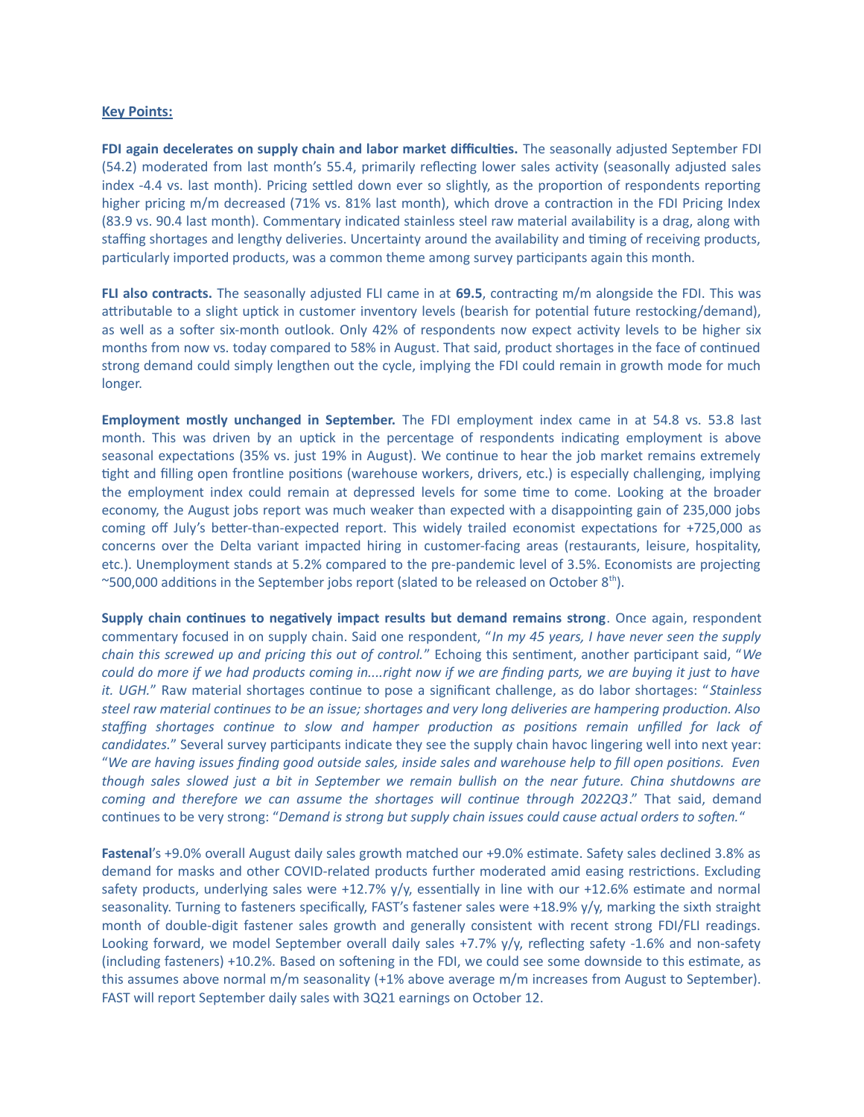### **Key Points:**

**FDI again decelerates on supply chain and labor market difficulties.** The seasonally adjusted September FDI (54.2) moderated from last month's 55.4, primarily reflecting lower sales activity (seasonally adjusted sales index -4.4 vs. last month). Pricing settled down ever so slightly, as the proportion of respondents reporting higher pricing m/m decreased (71% vs. 81% last month), which drove a contraction in the FDI Pricing Index (83.9 vs. 90.4 last month). Commentary indicated stainless steel raw material availability is a drag, along with staffing shortages and lengthy deliveries. Uncertainty around the availability and timing of receiving products, particularly imported products, was a common theme among survey participants again this month.

**FLI also contracts.** The seasonally adjusted FLI came in at **69.5**, contracting m/m alongside the FDI. This was attributable to a slight uptick in customer inventory levels (bearish for potential future restocking/demand), as well as a softer six-month outlook. Only 42% of respondents now expect activity levels to be higher six months from now vs. today compared to 58% in August. That said, product shortages in the face of continued strong demand could simply lengthen out the cycle, implying the FDI could remain in growth mode for much longer.

**Employment mostly unchanged in September.** The FDI employment index came in at 54.8 vs. 53.8 last month. This was driven by an uptick in the percentage of respondents indicating employment is above seasonal expectations (35% vs. just 19% in August). We continue to hear the job market remains extremely tight and filling open frontline positions (warehouse workers, drivers, etc.) is especially challenging, implying the employment index could remain at depressed levels for some time to come. Looking at the broader economy, the August jobs report was much weaker than expected with a disappointing gain of 235,000 jobs coming off July's better-than-expected report. This widely trailed economist expectations for +725,000 as concerns over the Delta variant impacted hiring in customer-facing areas (restaurants, leisure, hospitality, etc.). Unemployment stands at 5.2% compared to the pre-pandemic level of 3.5%. Economists are projecting ~500,000 additions in the September jobs report (slated to be released on October  $8<sup>th</sup>$ ).

**Supply chain continues to negatively impact results but demand remains strong**. Once again, respondent commentary focused in on supply chain. Said one respondent, "*In my 45 years, I have never seen the supply chain this screwed up and pricing this out of control.*" Echoing this sentiment, another participant said, "*We could do more if we had products coming in....right now if we are finding parts, we are buying it just to have it. UGH.*" Raw material shortages continue to pose a significant challenge, as do labor shortages: "*Stainless steel raw material continues to be an issue; shortages and very long deliveries are hampering production. Also staffing shortages continue to slow and hamper production as positions remain unfilled for lack of candidates.*" Several survey participants indicate they see the supply chain havoc lingering well into next year: "*We are having issues finding good outside sales, inside sales and warehouse help to fill open positions. Even though sales slowed just a bit in September we remain bullish on the near future. China shutdowns are coming and therefore we can assume the shortages will continue through 2022Q3*." That said, demand continues to be very strong: "*Demand is strong but supply chain issues could cause actual orders to soften.*"

**Fastenal**'s +9.0% overall August daily sales growth matched our +9.0% estimate. Safety sales declined 3.8% as demand for masks and other COVID-related products further moderated amid easing restrictions. Excluding safety products, underlying sales were +12.7% y/y, essentially in line with our +12.6% estimate and normal seasonality. Turning to fasteners specifically, FAST's fastener sales were +18.9% y/y, marking the sixth straight month of double-digit fastener sales growth and generally consistent with recent strong FDI/FLI readings. Looking forward, we model September overall daily sales +7.7% y/y, reflecting safety -1.6% and non-safety (including fasteners) +10.2%. Based on softening in the FDI, we could see some downside to this estimate, as this assumes above normal m/m seasonality (+1% above average m/m increases from August to September). FAST will report September daily sales with 3Q21 earnings on October 12.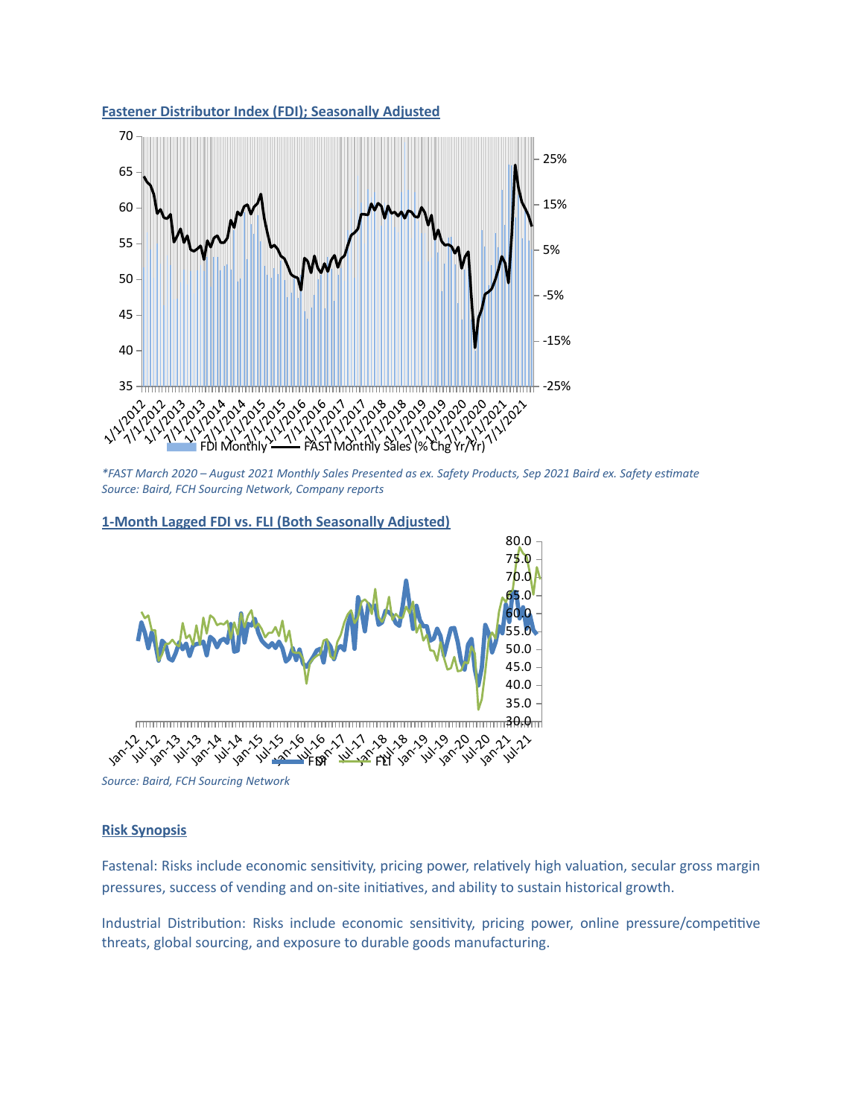

*\*FAST March 2020 – August 2021 Monthly Sales Presented as ex. Safety Products, Sep 2021 Baird ex. Safety estimate*

*Source: Baird, FCH Sourcing Network, Company reports*



## **1-Month Lagged FDI vs. FLI (Both Seasonally Adjusted)**

**Fastener Distributor Index (FDI); Seasonally Adjusted**

*Source: Baird, FCH Sourcing Network*

## **Risk Synopsis**

Fastenal: Risks include economic sensitivity, pricing power, relatively high valuation, secular gross margin pressures, success of vending and on-site initiatives, and ability to sustain historical growth.

Industrial Distribution: Risks include economic sensitivity, pricing power, online pressure/competitive threats, global sourcing, and exposure to durable goods manufacturing.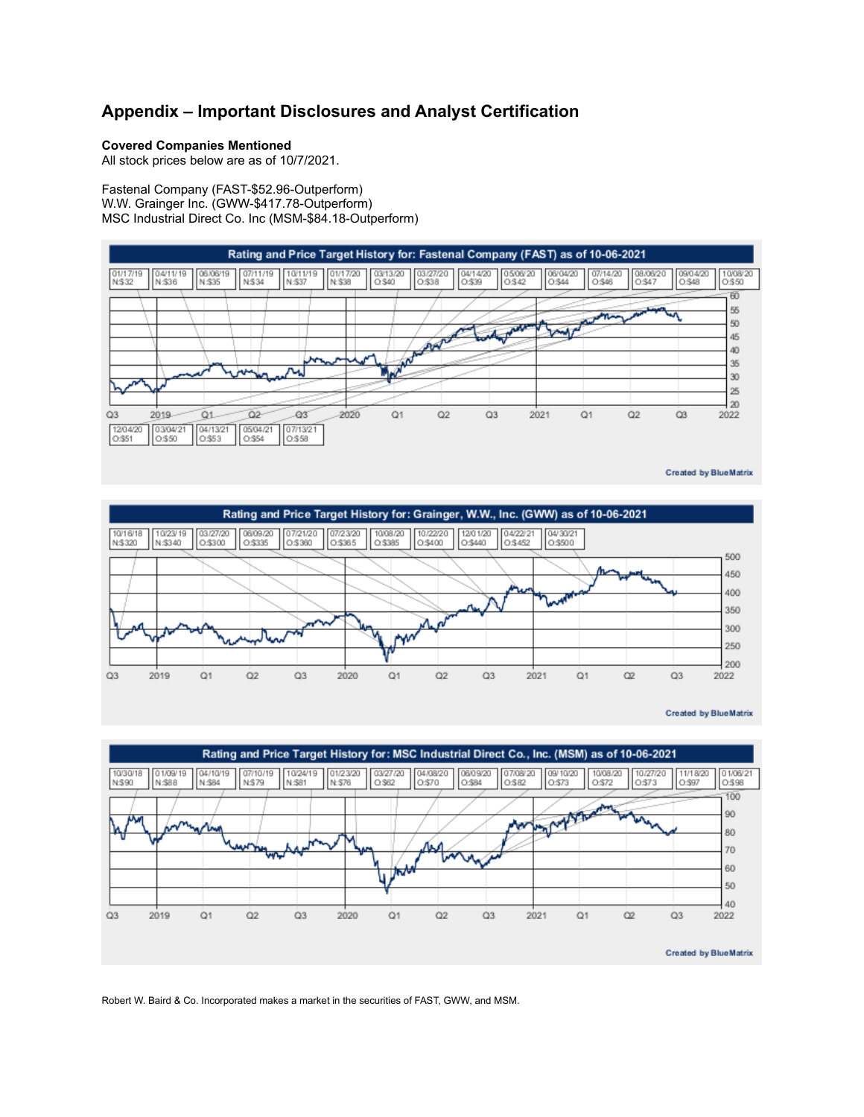# **Appendix – Important Disclosures and Analyst Certification**

### **Covered Companies Mentioned**

All stock prices below are as of 10/7/2021.

Fastenal Company (FAST-\$52.96-Outperform) W.W. Grainger Inc. (GWW-\$417.78-Outperform) MSC Industrial Direct Co. Inc (MSM-\$84.18-Outperform)



**Created by BlueMatrix** 



**Created by BlueMatrix** 



Robert W. Baird & Co. Incorporated makes a market in the securities of FAST, GWW, and MSM.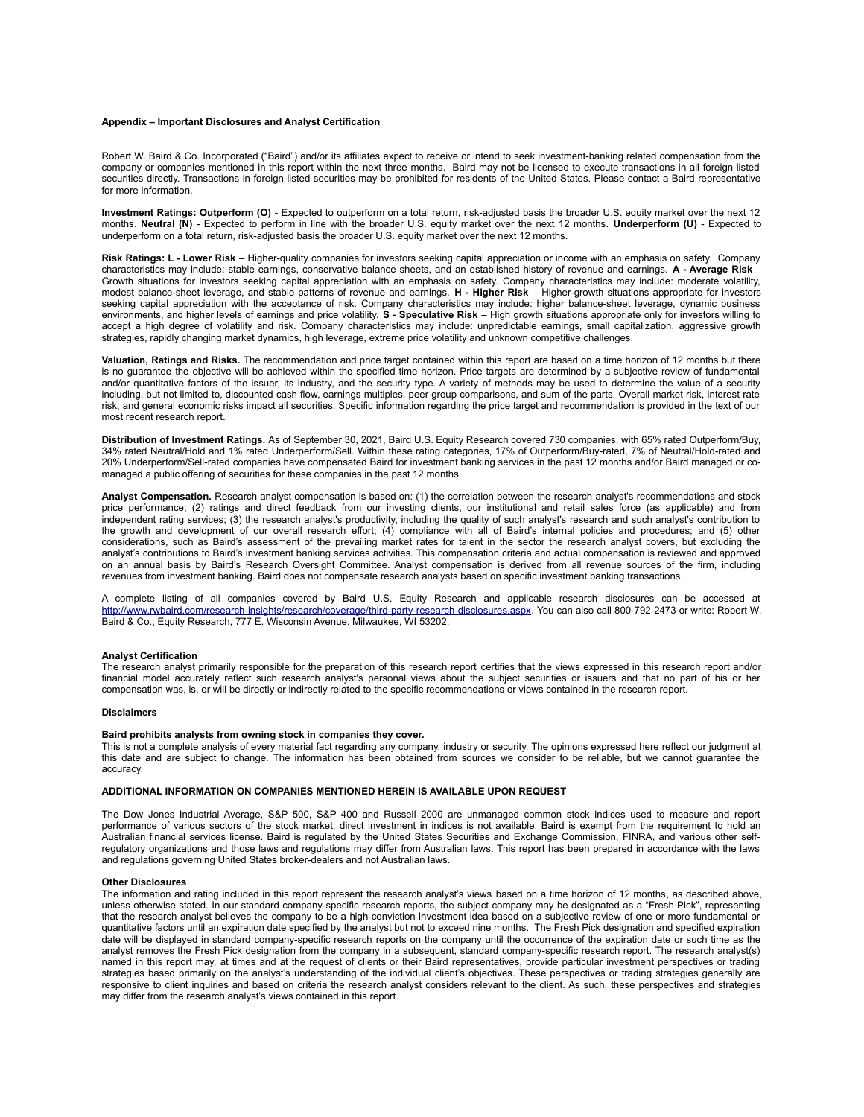#### **Appendix – Important Disclosures and Analyst Certification**

Robert W. Baird & Co. Incorporated ("Baird") and/or its affiliates expect to receive or intend to seek investment-banking related compensation from the company or companies mentioned in this report within the next three months. Baird may not be licensed to execute transactions in all foreign listed securities directly. Transactions in foreign listed securities may be prohibited for residents of the United States. Please contact a Baird representative for more information.

**Investment Ratings: Outperform (O)** - Expected to outperform on a total return, risk-adjusted basis the broader U.S. equity market over the next 12 months. **Neutral (N)** - Expected to perform in line with the broader U.S. equity market over the next 12 months. **Underperform (U)** - Expected to underperform on a total return, risk-adjusted basis the broader U.S. equity market over the next 12 months.

**Risk Ratings: L - Lower Risk** – Higher-quality companies for investors seeking capital appreciation or income with an emphasis on safety. Company characteristics may include: stable earnings, conservative balance sheets, and an established history of revenue and earnings. **A - Average Risk** – Growth situations for investors seeking capital appreciation with an emphasis on safety. Company characteristics may include: moderate volatility, modest balance-sheet leverage, and stable patterns of revenue and earnings. **H - Higher Risk** – Higher-growth situations appropriate for investors seeking capital appreciation with the acceptance of risk. Company characteristics may include: higher balance-sheet leverage, dynamic business environments, and higher levels of earnings and price volatility. **S - Speculative Risk** – High growth situations appropriate only for investors willing to accept a high degree of volatility and risk. Company characteristics may include: unpredictable earnings, small capitalization, aggressive growth strategies, rapidly changing market dynamics, high leverage, extreme price volatility and unknown competitive challenges.

**Valuation, Ratings and Risks.** The recommendation and price target contained within this report are based on a time horizon of 12 months but there is no guarantee the objective will be achieved within the specified time horizon. Price targets are determined by a subjective review of fundamental and/or quantitative factors of the issuer, its industry, and the security type. A variety of methods may be used to determine the value of a security including, but not limited to, discounted cash flow, earnings multiples, peer group comparisons, and sum of the parts. Overall market risk, interest rate risk, and general economic risks impact all securities. Specific information regarding the price target and recommendation is provided in the text of our most recent research report.

**Distribution of Investment Ratings.** As of September 30, 2021, Baird U.S. Equity Research covered 730 companies, with 65% rated Outperform/Buy, 34% rated Neutral/Hold and 1% rated Underperform/Sell. Within these rating categories, 17% of Outperform/Buy-rated, 7% of Neutral/Hold-rated and 20% Underperform/Sell-rated companies have compensated Baird for investment banking services in the past 12 months and/or Baird managed or comanaged a public offering of securities for these companies in the past 12 months.

**Analyst Compensation.** Research analyst compensation is based on: (1) the correlation between the research analyst's recommendations and stock price performance; (2) ratings and direct feedback from our investing clients, our institutional and retail sales force (as applicable) and from independent rating services; (3) the research analyst's productivity, including the quality of such analyst's research and such analyst's contribution to the growth and development of our overall research effort; (4) compliance with all of Baird's internal policies and procedures; and (5) other considerations, such as Baird's assessment of the prevailing market rates for talent in the sector the research analyst covers, but excluding the analyst's contributions to Baird's investment banking services activities. This compensation criteria and actual compensation is reviewed and approved on an annual basis by Baird's Research Oversight Committee. Analyst compensation is derived from all revenue sources of the firm, including revenues from investment banking. Baird does not compensate research analysts based on specific investment banking transactions.

A complete listing of all companies covered by Baird U.S. Equity Research and applicable research disclosures can be accessed at [http://www.rwbaird.com/research-insights/research/coverage/third-party-research-disclosures.aspx.](http://www.rwbaird.com/research-insights/research/coverage/third-party-research-disclosures.aspx) You can also call 800-792-2473 or write: Robert W. Baird & Co., Equity Research, 777 E. Wisconsin Avenue, Milwaukee, WI 53202.

#### **Analyst Certification**

The research analyst primarily responsible for the preparation of this research report certifies that the views expressed in this research report and/or financial model accurately reflect such research analyst's personal views about the subject securities or issuers and that no part of his or her compensation was, is, or will be directly or indirectly related to the specific recommendations or views contained in the research report.

#### **Disclaimers**

#### **Baird prohibits analysts from owning stock in companies they cover.**

This is not a complete analysis of every material fact regarding any company, industry or security. The opinions expressed here reflect our judgment at this date and are subject to change. The information has been obtained from sources we consider to be reliable, but we cannot guarantee the accuracy.

### **ADDITIONAL INFORMATION ON COMPANIES MENTIONED HEREIN IS AVAILABLE UPON REQUEST**

The Dow Jones Industrial Average, S&P 500, S&P 400 and Russell 2000 are unmanaged common stock indices used to measure and report performance of various sectors of the stock market; direct investment in indices is not available. Baird is exempt from the requirement to hold an Australian financial services license. Baird is regulated by the United States Securities and Exchange Commission, FINRA, and various other selfregulatory organizations and those laws and regulations may differ from Australian laws. This report has been prepared in accordance with the laws and regulations governing United States broker-dealers and not Australian laws.

### **Other Disclosures**

The information and rating included in this report represent the research analyst's views based on a time horizon of 12 months, as described above, unless otherwise stated. In our standard company-specific research reports, the subject company may be designated as a "Fresh Pick", representing that the research analyst believes the company to be a high-conviction investment idea based on a subjective review of one or more fundamental or quantitative factors until an expiration date specified by the analyst but not to exceed nine months. The Fresh Pick designation and specified expiration date will be displayed in standard company-specific research reports on the company until the occurrence of the expiration date or such time as the analyst removes the Fresh Pick designation from the company in a subsequent, standard company-specific research report. The research analyst(s) named in this report may, at times and at the request of clients or their Baird representatives, provide particular investment perspectives or trading strategies based primarily on the analyst's understanding of the individual client's objectives. These perspectives or trading strategies generally are responsive to client inquiries and based on criteria the research analyst considers relevant to the client. As such, these perspectives and strategies may differ from the research analyst's views contained in this report.